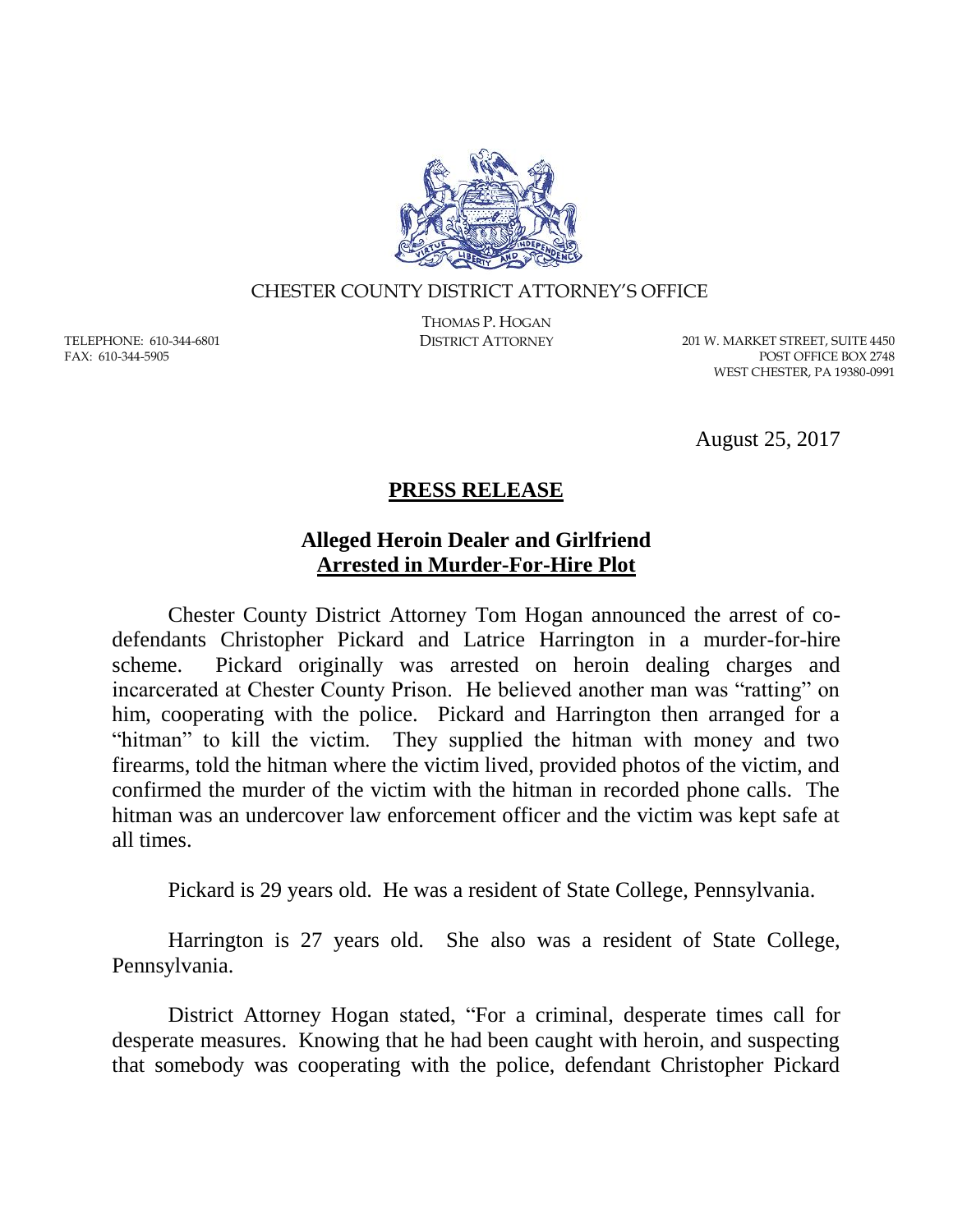

## CHESTER COUNTY DISTRICT ATTORNEY'S OFFICE

TELEPHONE: 610-344-6801 FAX: 610-344-5905

THOMAS P. HOGAN

DISTRICT ATTORNEY 201 W. MARKET STREET, SUITE 4450 POST OFFICE BOX 2748 WEST CHESTER, PA 19380-0991

August 25, 2017

## **PRESS RELEASE**

## **Alleged Heroin Dealer and Girlfriend Arrested in Murder-For-Hire Plot**

Chester County District Attorney Tom Hogan announced the arrest of codefendants Christopher Pickard and Latrice Harrington in a murder-for-hire scheme. Pickard originally was arrested on heroin dealing charges and incarcerated at Chester County Prison. He believed another man was "ratting" on him, cooperating with the police. Pickard and Harrington then arranged for a "hitman" to kill the victim. They supplied the hitman with money and two firearms, told the hitman where the victim lived, provided photos of the victim, and confirmed the murder of the victim with the hitman in recorded phone calls. The hitman was an undercover law enforcement officer and the victim was kept safe at all times.

Pickard is 29 years old. He was a resident of State College, Pennsylvania.

Harrington is 27 years old. She also was a resident of State College, Pennsylvania.

District Attorney Hogan stated, "For a criminal, desperate times call for desperate measures. Knowing that he had been caught with heroin, and suspecting that somebody was cooperating with the police, defendant Christopher Pickard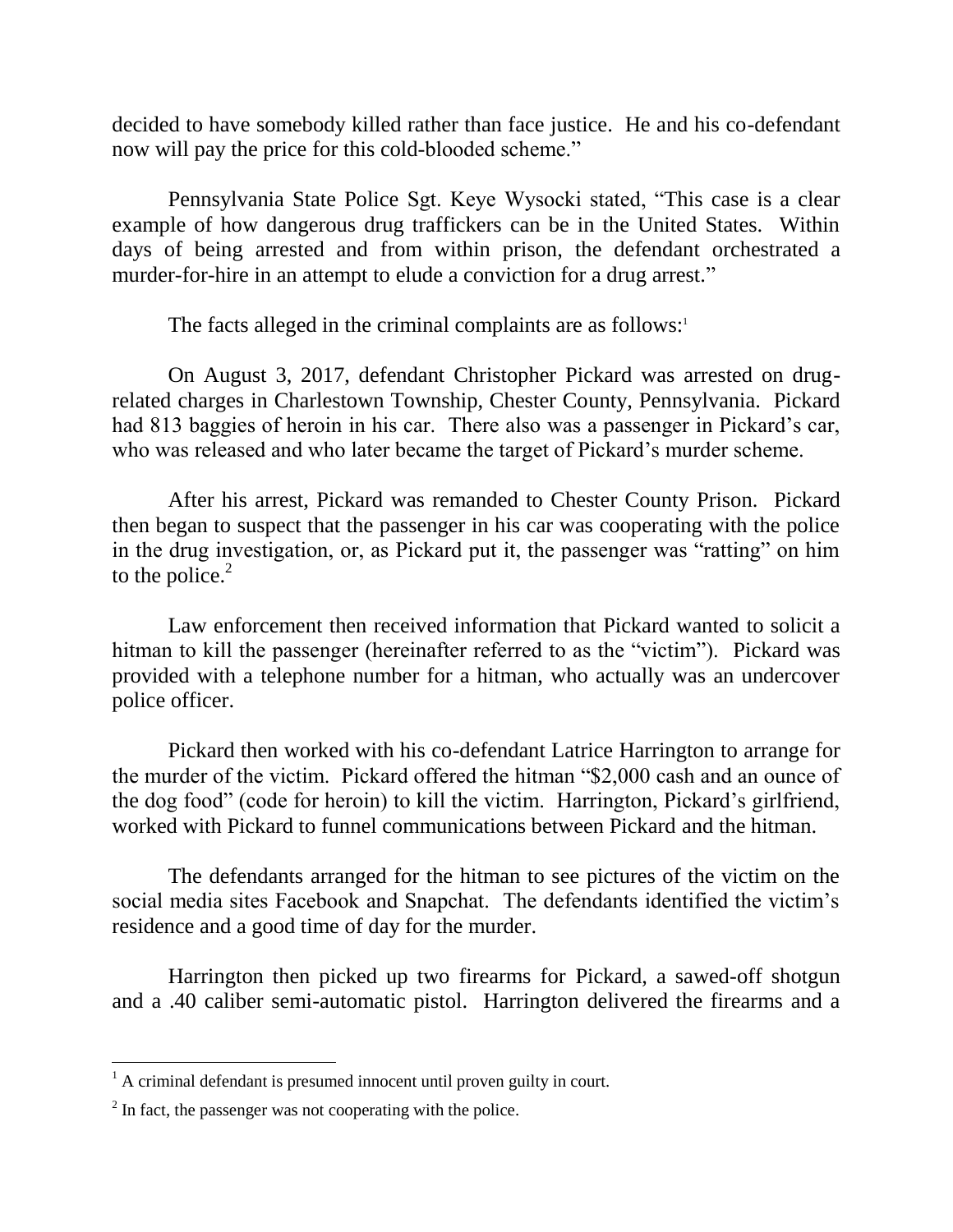decided to have somebody killed rather than face justice. He and his co-defendant now will pay the price for this cold-blooded scheme."

Pennsylvania State Police Sgt. Keye Wysocki stated, "This case is a clear example of how dangerous drug traffickers can be in the United States. Within days of being arrested and from within prison, the defendant orchestrated a murder-for-hire in an attempt to elude a conviction for a drug arrest."

The facts alleged in the criminal complaints are as follows:<sup>1</sup>

On August 3, 2017, defendant Christopher Pickard was arrested on drugrelated charges in Charlestown Township, Chester County, Pennsylvania. Pickard had 813 baggies of heroin in his car. There also was a passenger in Pickard's car, who was released and who later became the target of Pickard's murder scheme.

After his arrest, Pickard was remanded to Chester County Prison. Pickard then began to suspect that the passenger in his car was cooperating with the police in the drug investigation, or, as Pickard put it, the passenger was "ratting" on him to the police. $2$ 

Law enforcement then received information that Pickard wanted to solicit a hitman to kill the passenger (hereinafter referred to as the "victim"). Pickard was provided with a telephone number for a hitman, who actually was an undercover police officer.

Pickard then worked with his co-defendant Latrice Harrington to arrange for the murder of the victim. Pickard offered the hitman "\$2,000 cash and an ounce of the dog food" (code for heroin) to kill the victim. Harrington, Pickard's girlfriend, worked with Pickard to funnel communications between Pickard and the hitman.

The defendants arranged for the hitman to see pictures of the victim on the social media sites Facebook and Snapchat. The defendants identified the victim's residence and a good time of day for the murder.

Harrington then picked up two firearms for Pickard, a sawed-off shotgun and a .40 caliber semi-automatic pistol. Harrington delivered the firearms and a

 $\overline{a}$ 

 $<sup>1</sup>$  A criminal defendant is presumed innocent until proven guilty in court.</sup>

 $2<sup>2</sup>$  In fact, the passenger was not cooperating with the police.